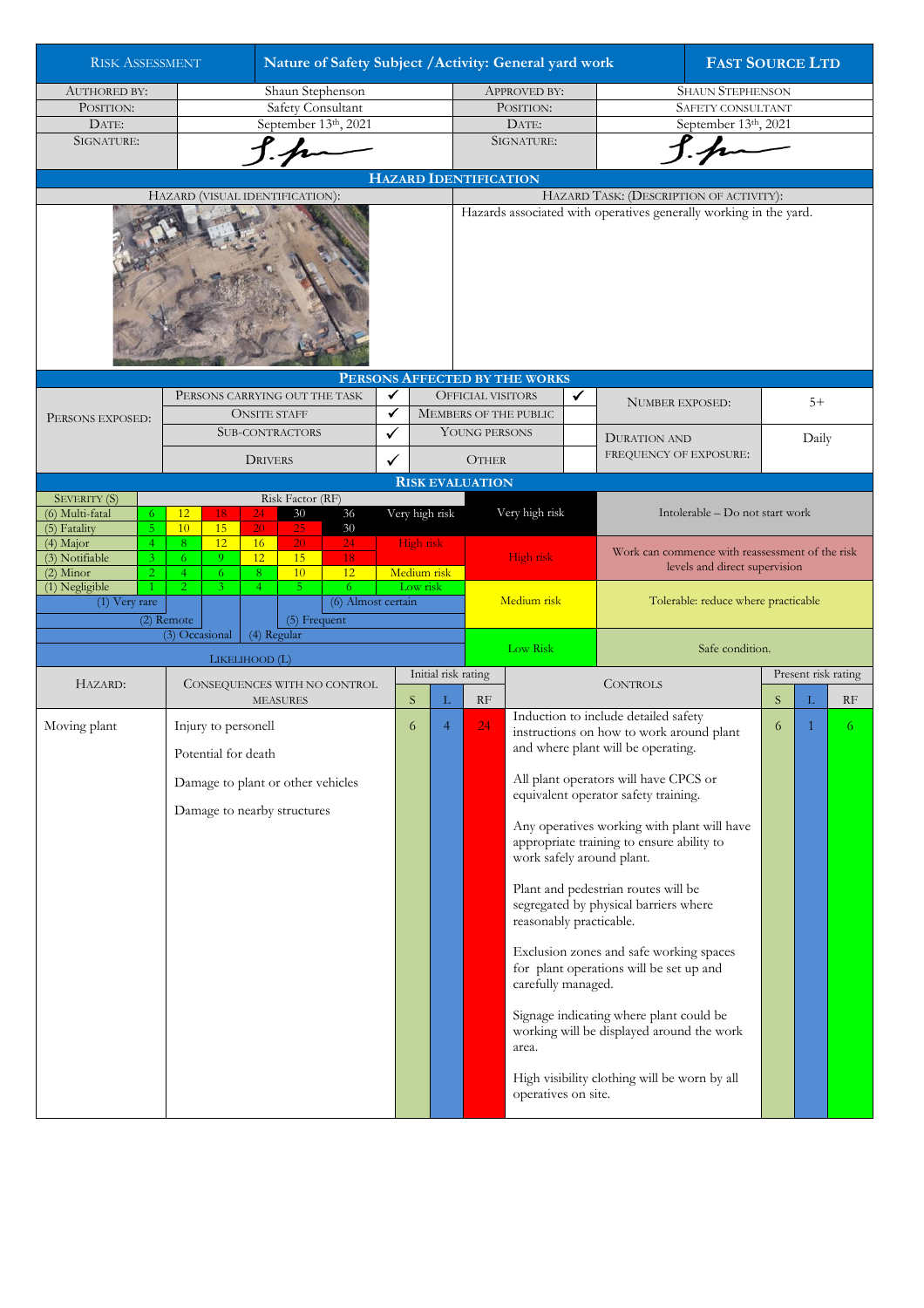| <b>RISK ASSESSMENT</b>                           |                                                |                                                 |                       |                                 |                                   |                      | Nature of Safety Subject / Activity: General yard work                                                       |                |                                                                              |                                                                        |                                                                                      |                                                                                |                                                                                  | <b>FAST SOURCE LTD</b> |       |    |  |
|--------------------------------------------------|------------------------------------------------|-------------------------------------------------|-----------------------|---------------------------------|-----------------------------------|----------------------|--------------------------------------------------------------------------------------------------------------|----------------|------------------------------------------------------------------------------|------------------------------------------------------------------------|--------------------------------------------------------------------------------------|--------------------------------------------------------------------------------|----------------------------------------------------------------------------------|------------------------|-------|----|--|
| <b>AUTHORED BY:</b>                              | Shaun Stephenson                               |                                                 |                       |                                 |                                   |                      |                                                                                                              |                | <b>APPROVED BY:</b>                                                          |                                                                        |                                                                                      | <b>SHAUN STEPHENSON</b>                                                        |                                                                                  |                        |       |    |  |
| POSITION:                                        | Safety Consultant                              |                                                 |                       |                                 |                                   |                      |                                                                                                              |                |                                                                              | POSITION:                                                              |                                                                                      | SAFETY CONSULTANT                                                              |                                                                                  |                        |       |    |  |
| DATE:                                            | September 13th, 2021                           |                                                 |                       |                                 |                                   |                      |                                                                                                              |                | DATE:                                                                        |                                                                        |                                                                                      | September 13th, 2021                                                           |                                                                                  |                        |       |    |  |
| SIGNATURE:                                       |                                                |                                                 |                       |                                 |                                   |                      |                                                                                                              |                | SIGNATURE:                                                                   |                                                                        |                                                                                      |                                                                                |                                                                                  |                        |       |    |  |
|                                                  |                                                |                                                 |                       |                                 |                                   |                      |                                                                                                              |                |                                                                              |                                                                        |                                                                                      |                                                                                |                                                                                  |                        |       |    |  |
|                                                  |                                                |                                                 |                       |                                 |                                   |                      |                                                                                                              |                | <b>HAZARD IDENTIFICATION</b>                                                 |                                                                        |                                                                                      |                                                                                |                                                                                  |                        |       |    |  |
|                                                  |                                                |                                                 |                       | HAZARD (VISUAL IDENTIFICATION): |                                   |                      | HAZARD TASK: (DESCRIPTION OF ACTIVITY):<br>Hazards associated with operatives generally working in the yard. |                |                                                                              |                                                                        |                                                                                      |                                                                                |                                                                                  |                        |       |    |  |
|                                                  |                                                |                                                 |                       |                                 |                                   |                      |                                                                                                              |                |                                                                              |                                                                        |                                                                                      |                                                                                |                                                                                  |                        |       |    |  |
|                                                  |                                                |                                                 |                       |                                 |                                   |                      |                                                                                                              |                |                                                                              | PERSONS AFFECTED BY THE WORKS                                          |                                                                                      |                                                                                |                                                                                  |                        |       |    |  |
|                                                  |                                                |                                                 |                       |                                 | PERSONS CARRYING OUT THE TASK     | ✔                    |                                                                                                              |                | <b>OFFICIAL VISITORS</b>                                                     |                                                                        | $\checkmark$                                                                         |                                                                                |                                                                                  |                        |       |    |  |
| PERSONS EXPOSED:                                 |                                                |                                                 | <b>ONSITE STAFF</b>   |                                 |                                   | $\blacktriangledown$ |                                                                                                              |                |                                                                              | MEMBERS OF THE PUBLIC                                                  |                                                                                      | <b>NUMBER EXPOSED:</b>                                                         |                                                                                  | $5+$                   |       |    |  |
|                                                  |                                                |                                                 |                       | <b>SUB-CONTRACTORS</b>          |                                   | $\checkmark$         |                                                                                                              |                | YOUNG PERSONS                                                                |                                                                        |                                                                                      | <b>DURATION AND</b>                                                            |                                                                                  |                        |       |    |  |
|                                                  |                                                |                                                 |                       |                                 |                                   |                      |                                                                                                              |                |                                                                              |                                                                        |                                                                                      | FREQUENCY OF EXPOSURE:                                                         |                                                                                  |                        | Daily |    |  |
|                                                  |                                                |                                                 | <b>DRIVERS</b>        |                                 |                                   | ✓                    |                                                                                                              |                | <b>OTHER</b>                                                                 |                                                                        |                                                                                      |                                                                                |                                                                                  |                        |       |    |  |
| <b>SEVERITY (S)</b><br>(6) Multi-fatal<br>6      | Risk Factor (RF)<br>12<br>24<br>30<br>36<br>18 |                                                 |                       |                                 |                                   | Very high risk       |                                                                                                              |                | <b>RISK EVALUATION</b><br>Very high risk<br>Intolerable - Do not start work  |                                                                        |                                                                                      |                                                                                |                                                                                  |                        |       |    |  |
| (5) Fatality<br>5<br>(4) Major<br>$\overline{4}$ | 10<br>8                                        | 15<br>12                                        | $\overline{20}$<br>16 | 25<br>20                        | $30\,$<br>24                      |                      | High risk                                                                                                    |                |                                                                              |                                                                        |                                                                                      |                                                                                |                                                                                  |                        |       |    |  |
| (3) Notifiable<br>3                              | 6                                              | 9                                               | 12                    | 15                              | 18                                |                      |                                                                                                              | High risk      |                                                                              |                                                                        |                                                                                      |                                                                                | Work can commence with reassessment of the risk<br>levels and direct supervision |                        |       |    |  |
| $(2)$ Minor<br>$\overline{2}$<br>(1) Negligible  | $\overline{4}$<br>$\overline{2}$               | 6<br>3                                          | 8<br>$\overline{4}$   | 10<br>5 <sub>1</sub>            | 12<br>6                           |                      | Medium risk<br>Low risk                                                                                      |                |                                                                              |                                                                        |                                                                                      |                                                                                |                                                                                  |                        |       |    |  |
| (1) Very rare                                    |                                                |                                                 |                       |                                 | (6) Almost certain                |                      |                                                                                                              |                |                                                                              | Medium risk                                                            |                                                                                      | Tolerable: reduce where practicable                                            |                                                                                  |                        |       |    |  |
|                                                  | (2) Remote                                     |                                                 |                       | (5) Frequent                    |                                   |                      |                                                                                                              |                |                                                                              |                                                                        |                                                                                      |                                                                                |                                                                                  |                        |       |    |  |
|                                                  | (3) Occasional                                 |                                                 | (4) Regular           |                                 |                                   |                      |                                                                                                              |                |                                                                              |                                                                        |                                                                                      |                                                                                |                                                                                  |                        |       |    |  |
|                                                  |                                                |                                                 | LIKELIHOOD (L)        |                                 |                                   |                      |                                                                                                              |                |                                                                              | <b>Low Risk</b>                                                        |                                                                                      | Safe condition.                                                                |                                                                                  |                        |       |    |  |
| HAZARD:                                          |                                                |                                                 |                       |                                 |                                   |                      | Initial risk rating                                                                                          |                |                                                                              |                                                                        |                                                                                      | <b>CONTROLS</b>                                                                |                                                                                  | Present risk rating    |       |    |  |
|                                                  |                                                | CONSEQUENCES WITH NO CONTROL<br><b>MEASURES</b> |                       |                                 |                                   |                      |                                                                                                              | L              | RF                                                                           |                                                                        |                                                                                      |                                                                                |                                                                                  | S                      | L     | RF |  |
| Moving plant                                     |                                                | Injury to personell                             |                       |                                 |                                   |                      | 6                                                                                                            | $\overline{4}$ | 24                                                                           |                                                                        | Induction to include detailed safety                                                 |                                                                                | 6                                                                                | 1                      | 6.    |    |  |
|                                                  |                                                | Potential for death                             |                       |                                 |                                   |                      |                                                                                                              |                |                                                                              |                                                                        |                                                                                      | instructions on how to work around plant<br>and where plant will be operating. |                                                                                  |                        |       |    |  |
|                                                  |                                                |                                                 |                       |                                 |                                   |                      |                                                                                                              |                |                                                                              |                                                                        |                                                                                      |                                                                                |                                                                                  |                        |       |    |  |
|                                                  |                                                |                                                 |                       |                                 | Damage to plant or other vehicles |                      |                                                                                                              |                |                                                                              |                                                                        |                                                                                      | All plant operators will have CPCS or<br>equivalent operator safety training.  |                                                                                  |                        |       |    |  |
|                                                  |                                                | Damage to nearby structures                     |                       |                                 |                                   |                      |                                                                                                              |                |                                                                              |                                                                        |                                                                                      | Any operatives working with plant will have                                    |                                                                                  |                        |       |    |  |
|                                                  |                                                |                                                 |                       |                                 |                                   |                      |                                                                                                              |                |                                                                              | appropriate training to ensure ability to<br>work safely around plant. |                                                                                      |                                                                                |                                                                                  |                        |       |    |  |
|                                                  |                                                |                                                 |                       |                                 |                                   |                      | reasonably practicable.                                                                                      |                | Plant and pedestrian routes will be<br>segregated by physical barriers where |                                                                        |                                                                                      |                                                                                |                                                                                  |                        |       |    |  |
|                                                  |                                                |                                                 |                       |                                 |                                   |                      |                                                                                                              |                |                                                                              |                                                                        |                                                                                      | Exclusion zones and safe working spaces                                        |                                                                                  |                        |       |    |  |
|                                                  |                                                |                                                 |                       |                                 |                                   |                      |                                                                                                              |                |                                                                              | carefully managed.                                                     |                                                                                      | for plant operations will be set up and                                        |                                                                                  |                        |       |    |  |
|                                                  |                                                |                                                 |                       |                                 |                                   |                      |                                                                                                              |                | area.                                                                        |                                                                        | Signage indicating where plant could be<br>working will be displayed around the work |                                                                                |                                                                                  |                        |       |    |  |
|                                                  |                                                |                                                 |                       |                                 |                                   |                      |                                                                                                              |                | operatives on site.                                                          |                                                                        | High visibility clothing will be worn by all                                         |                                                                                |                                                                                  |                        |       |    |  |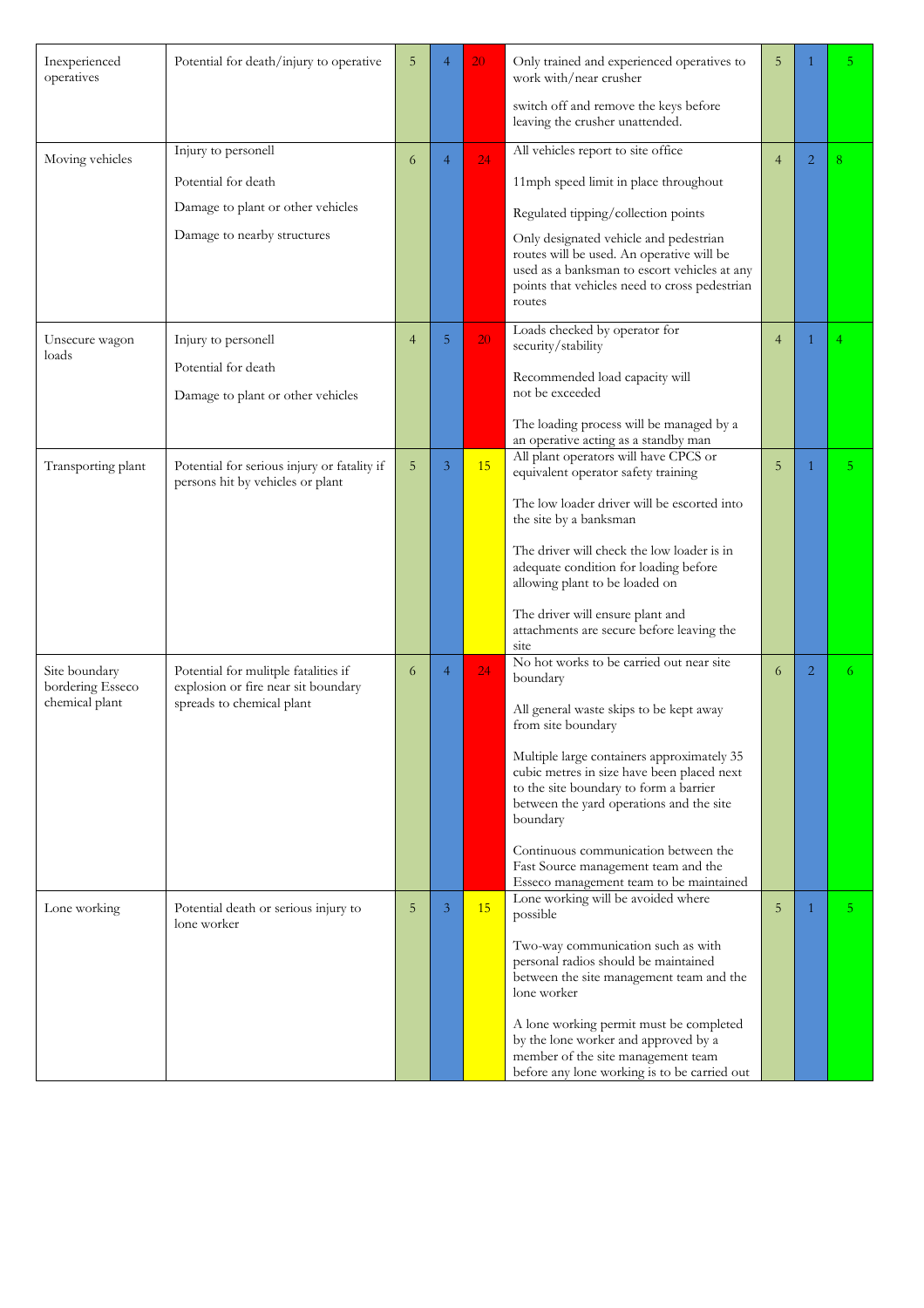| Inexperienced<br>operatives       | Potential for death/injury to operative                                     | 5              | 4              | 20 | Only trained and experienced operatives to<br>work with/near crusher                                                                                 | 5              |                | 5.             |
|-----------------------------------|-----------------------------------------------------------------------------|----------------|----------------|----|------------------------------------------------------------------------------------------------------------------------------------------------------|----------------|----------------|----------------|
|                                   |                                                                             |                |                |    | switch off and remove the keys before<br>leaving the crusher unattended.                                                                             |                |                |                |
| Moving vehicles                   | Injury to personell                                                         | 6              | $\overline{4}$ | 24 | All vehicles report to site office                                                                                                                   | $\overline{4}$ | $\overline{2}$ | 8              |
|                                   | Potential for death                                                         |                |                |    | 11mph speed limit in place throughout                                                                                                                |                |                |                |
|                                   | Damage to plant or other vehicles                                           |                |                |    | Regulated tipping/collection points                                                                                                                  |                |                |                |
|                                   | Damage to nearby structures                                                 |                |                |    | Only designated vehicle and pedestrian                                                                                                               |                |                |                |
|                                   |                                                                             |                |                |    | routes will be used. An operative will be<br>used as a banksman to escort vehicles at any<br>points that vehicles need to cross pedestrian<br>routes |                |                |                |
| Unsecure wagon<br>loads           | Injury to personell                                                         | $\overline{4}$ | 5              | 20 | Loads checked by operator for<br>security/stability                                                                                                  | $\overline{4}$ | 1              |                |
|                                   | Potential for death                                                         |                |                |    | Recommended load capacity will                                                                                                                       |                |                |                |
|                                   | Damage to plant or other vehicles                                           |                |                |    | not be exceeded                                                                                                                                      |                |                |                |
|                                   |                                                                             |                |                |    | The loading process will be managed by a<br>an operative acting as a standby man                                                                     |                |                |                |
| Transporting plant                | Potential for serious injury or fatality if                                 | 5              | 3              | 15 | All plant operators will have CPCS or<br>equivalent operator safety training                                                                         | 5              | 1              | 5 <sup>1</sup> |
|                                   | persons hit by vehicles or plant                                            |                |                |    |                                                                                                                                                      |                |                |                |
|                                   |                                                                             |                |                |    | The low loader driver will be escorted into<br>the site by a banksman                                                                                |                |                |                |
|                                   |                                                                             |                |                |    | The driver will check the low loader is in<br>adequate condition for loading before<br>allowing plant to be loaded on                                |                |                |                |
|                                   |                                                                             |                |                |    | The driver will ensure plant and<br>attachments are secure before leaving the<br>site                                                                |                |                |                |
| Site boundary<br>bordering Esseco | Potential for mulitple fatalities if<br>explosion or fire near sit boundary | 6              | $\overline{4}$ | 24 | No hot works to be carried out near site<br>boundary                                                                                                 | 6              | $\overline{2}$ | 6.             |
| chemical plant                    | spreads to chemical plant                                                   |                |                |    | All general waste skips to be kept away<br>from site boundary                                                                                        |                |                |                |
|                                   |                                                                             |                |                |    | Multiple large containers approximately 35                                                                                                           |                |                |                |
|                                   |                                                                             |                |                |    | cubic metres in size have been placed next<br>to the site boundary to form a barrier                                                                 |                |                |                |
|                                   |                                                                             |                |                |    | between the yard operations and the site<br>boundary                                                                                                 |                |                |                |
|                                   |                                                                             |                |                |    | Continuous communication between the<br>Fast Source management team and the<br>Esseco management team to be maintained                               |                |                |                |
| Lone working                      | Potential death or serious injury to                                        | 5              | 3              | 15 | Lone working will be avoided where<br>possible                                                                                                       | 5              | 1              | 5.             |
|                                   | lone worker                                                                 |                |                |    | Two-way communication such as with<br>personal radios should be maintained<br>between the site management team and the<br>lone worker                |                |                |                |
|                                   |                                                                             |                |                |    | A lone working permit must be completed<br>by the lone worker and approved by a                                                                      |                |                |                |
|                                   |                                                                             |                |                |    | member of the site management team                                                                                                                   |                |                |                |
|                                   |                                                                             |                |                |    | before any lone working is to be carried out                                                                                                         |                |                |                |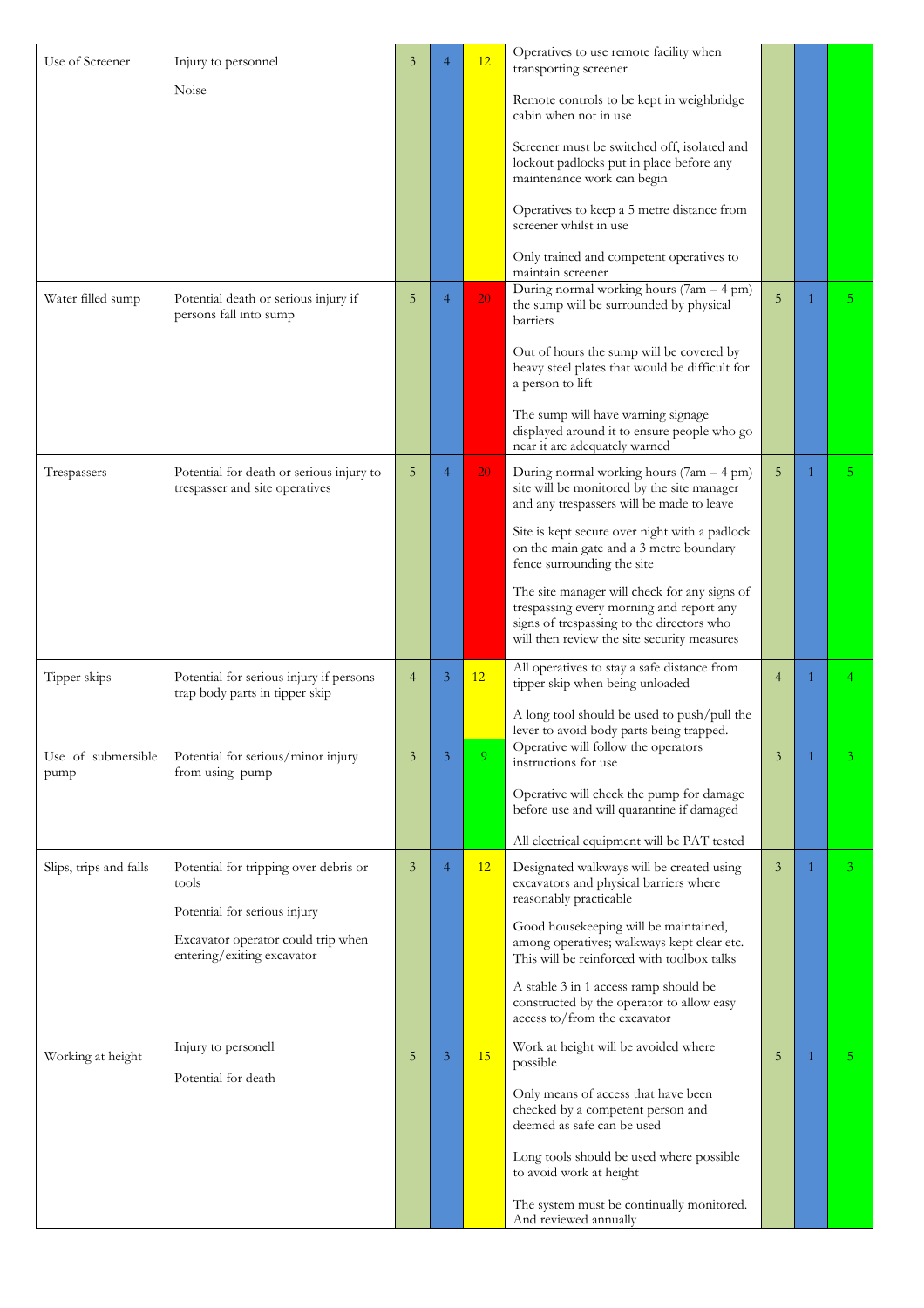| Use of Screener            | Injury to personnel                                                        | 3              | $\overline{4}$ | 12             | Operatives to use remote facility when<br>transporting screener                                                                                                                      |                |   |                |
|----------------------------|----------------------------------------------------------------------------|----------------|----------------|----------------|--------------------------------------------------------------------------------------------------------------------------------------------------------------------------------------|----------------|---|----------------|
|                            | Noise                                                                      |                |                |                |                                                                                                                                                                                      |                |   |                |
|                            |                                                                            |                |                |                | Remote controls to be kept in weighbridge<br>cabin when not in use                                                                                                                   |                |   |                |
|                            |                                                                            |                |                |                | Screener must be switched off, isolated and                                                                                                                                          |                |   |                |
|                            |                                                                            |                |                |                | lockout padlocks put in place before any<br>maintenance work can begin                                                                                                               |                |   |                |
|                            |                                                                            |                |                |                | Operatives to keep a 5 metre distance from<br>screener whilst in use                                                                                                                 |                |   |                |
|                            |                                                                            |                |                |                | Only trained and competent operatives to<br>maintain screener                                                                                                                        |                |   |                |
| Water filled sump          | Potential death or serious injury if<br>persons fall into sump             | 5              | $\overline{4}$ | 20             | During normal working hours (7am - 4 pm)<br>the sump will be surrounded by physical<br>barriers                                                                                      | 5              | 1 | 5 <sup>1</sup> |
|                            |                                                                            |                |                |                | Out of hours the sump will be covered by<br>heavy steel plates that would be difficult for<br>a person to lift                                                                       |                |   |                |
|                            |                                                                            |                |                |                | The sump will have warning signage<br>displayed around it to ensure people who go<br>near it are adequately warned                                                                   |                |   |                |
| Trespassers                | Potential for death or serious injury to<br>trespasser and site operatives | 5              | $\overline{4}$ | 20             | During normal working hours (7am - 4 pm)<br>site will be monitored by the site manager<br>and any trespassers will be made to leave                                                  | 5              | 1 | 5.             |
|                            |                                                                            |                |                |                | Site is kept secure over night with a padlock<br>on the main gate and a 3 metre boundary<br>fence surrounding the site                                                               |                |   |                |
|                            |                                                                            |                |                |                | The site manager will check for any signs of<br>trespassing every morning and report any<br>signs of trespassing to the directors who<br>will then review the site security measures |                |   |                |
| Tipper skips               | Potential for serious injury if persons<br>trap body parts in tipper skip  | $\overline{4}$ | 3              | 12             | All operatives to stay a safe distance from<br>tipper skip when being unloaded                                                                                                       | $\overline{4}$ | 1 | 4              |
|                            |                                                                            |                |                |                | A long tool should be used to push/pull the<br>lever to avoid body parts being trapped.                                                                                              |                |   |                |
| Use of submersible<br>pump | Potential for serious/minor injury<br>from using pump                      | 3              | 3              | 9 <sup>°</sup> | Operative will follow the operators<br>instructions for use                                                                                                                          | 3              |   |                |
|                            |                                                                            |                |                |                | Operative will check the pump for damage<br>before use and will quarantine if damaged                                                                                                |                |   |                |
|                            |                                                                            |                |                |                | All electrical equipment will be PAT tested                                                                                                                                          |                |   |                |
| Slips, trips and falls     | Potential for tripping over debris or<br>tools                             | 3              | $\overline{4}$ | 12             | Designated walkways will be created using<br>excavators and physical barriers where<br>reasonably practicable                                                                        | $\overline{3}$ | 1 | 3 <sup>1</sup> |
|                            | Potential for serious injury                                               |                |                |                | Good housekeeping will be maintained,                                                                                                                                                |                |   |                |
|                            | Excavator operator could trip when<br>entering/exiting excavator           |                |                |                | among operatives; walkways kept clear etc.<br>This will be reinforced with toolbox talks                                                                                             |                |   |                |
|                            |                                                                            |                |                |                | A stable 3 in 1 access ramp should be<br>constructed by the operator to allow easy<br>access to/from the excavator                                                                   |                |   |                |
| Working at height          | Injury to personell                                                        | 5              | 3              | 15             | Work at height will be avoided where                                                                                                                                                 | 5              | 1 | 5.             |
|                            | Potential for death                                                        |                |                |                | possible                                                                                                                                                                             |                |   |                |
|                            |                                                                            |                |                |                | Only means of access that have been<br>checked by a competent person and<br>deemed as safe can be used                                                                               |                |   |                |
|                            |                                                                            |                |                |                | Long tools should be used where possible<br>to avoid work at height                                                                                                                  |                |   |                |
|                            |                                                                            |                |                |                | The system must be continually monitored.<br>And reviewed annually                                                                                                                   |                |   |                |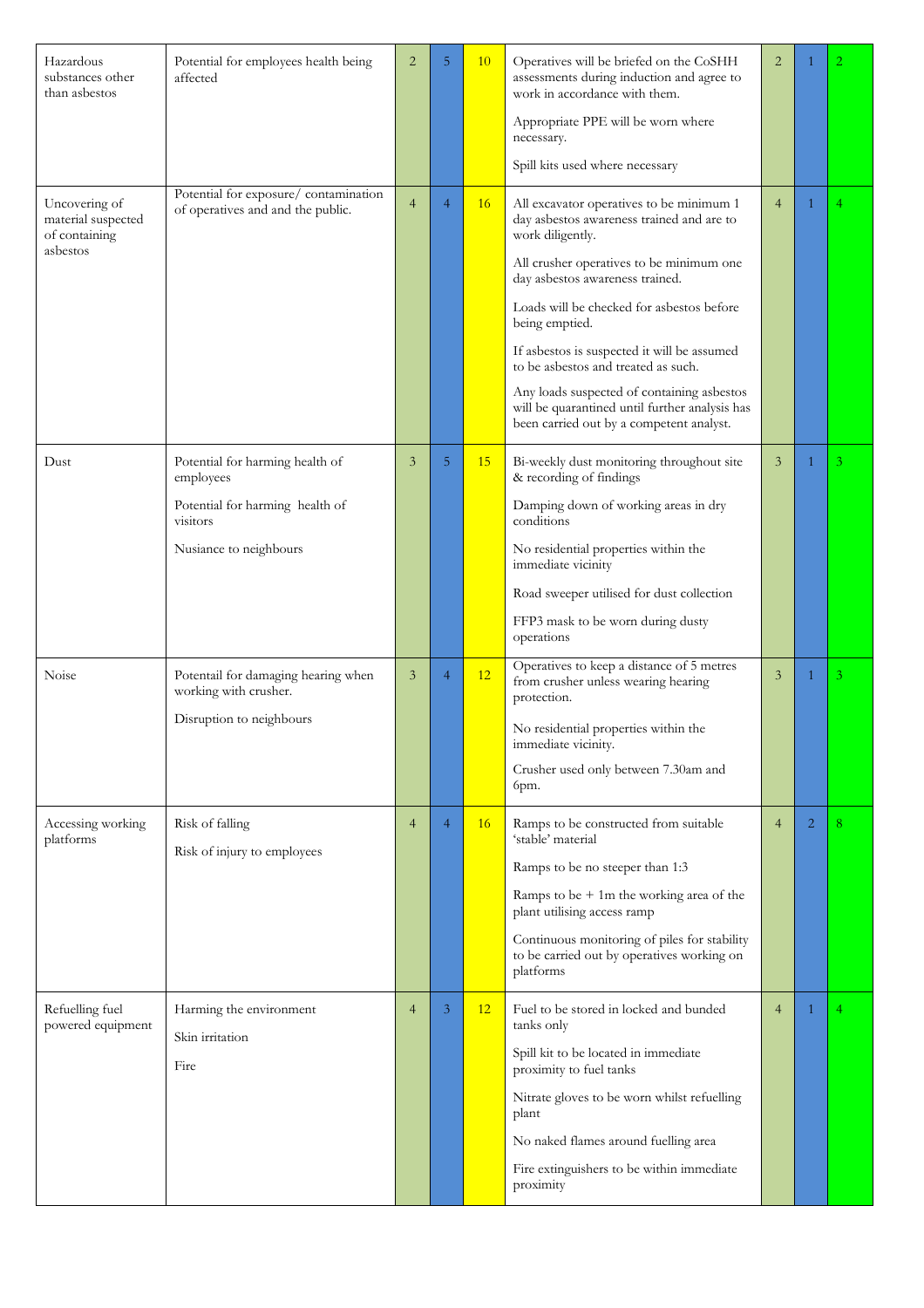| Hazardous<br>substances other<br>than asbestos                   | Potential for employees health being<br>affected                                                                      | $\overline{2}$ | 5              | 10        | Operatives will be briefed on the CoSHH<br>assessments during induction and agree to<br>work in accordance with them.<br>Appropriate PPE will be worn where<br>necessary.<br>Spill kits used where necessary                                                                                                                                                                                                                                                                              | $\overline{2}$ |                |    |
|------------------------------------------------------------------|-----------------------------------------------------------------------------------------------------------------------|----------------|----------------|-----------|-------------------------------------------------------------------------------------------------------------------------------------------------------------------------------------------------------------------------------------------------------------------------------------------------------------------------------------------------------------------------------------------------------------------------------------------------------------------------------------------|----------------|----------------|----|
| Uncovering of<br>material suspected<br>of containing<br>asbestos | Potential for exposure/contamination<br>of operatives and and the public.                                             | $\overline{4}$ | $\overline{4}$ | <b>16</b> | All excavator operatives to be minimum 1<br>day asbestos awareness trained and are to<br>work diligently.<br>All crusher operatives to be minimum one<br>day asbestos awareness trained.<br>Loads will be checked for asbestos before<br>being emptied.<br>If asbestos is suspected it will be assumed<br>to be asbestos and treated as such.<br>Any loads suspected of containing asbestos<br>will be quarantined until further analysis has<br>been carried out by a competent analyst. | $\overline{4}$ | 1              | 4  |
| Dust                                                             | Potential for harming health of<br>employees<br>Potential for harming health of<br>visitors<br>Nusiance to neighbours | 3              | 5              | 15        | Bi-weekly dust monitoring throughout site<br>& recording of findings<br>Damping down of working areas in dry<br>conditions<br>No residential properties within the<br>immediate vicinity<br>Road sweeper utilised for dust collection<br>FFP3 mask to be worn during dusty<br>operations                                                                                                                                                                                                  | 3              | 1              | 3. |
| Noise                                                            | Potentail for damaging hearing when<br>working with crusher.<br>Disruption to neighbours                              | 3              | 4              | 12        | Operatives to keep a distance of 5 metres<br>from crusher unless wearing hearing<br>protection.<br>No residential properties within the<br>immediate vicinity.<br>Crusher used only between 7.30am and<br>6pm.                                                                                                                                                                                                                                                                            | 3              | 1              | 3. |
| Accessing working<br>platforms                                   | Risk of falling<br>Risk of injury to employees                                                                        | $\overline{4}$ | $\overline{4}$ | 16        | Ramps to be constructed from suitable<br>'stable' material<br>Ramps to be no steeper than 1:3<br>Ramps to be $+1m$ the working area of the<br>plant utilising access ramp<br>Continuous monitoring of piles for stability<br>to be carried out by operatives working on<br>platforms                                                                                                                                                                                                      | $\overline{4}$ | $\overline{2}$ | 8  |
| Refuelling fuel<br>powered equipment                             | Harming the environment<br>Skin irritation<br>Fire                                                                    | $\overline{4}$ | 3              | 12        | Fuel to be stored in locked and bunded<br>tanks only<br>Spill kit to be located in immediate<br>proximity to fuel tanks<br>Nitrate gloves to be worn whilst refuelling<br>plant<br>No naked flames around fuelling area<br>Fire extinguishers to be within immediate<br>proximity                                                                                                                                                                                                         | $\overline{4}$ | 1              | 4  |